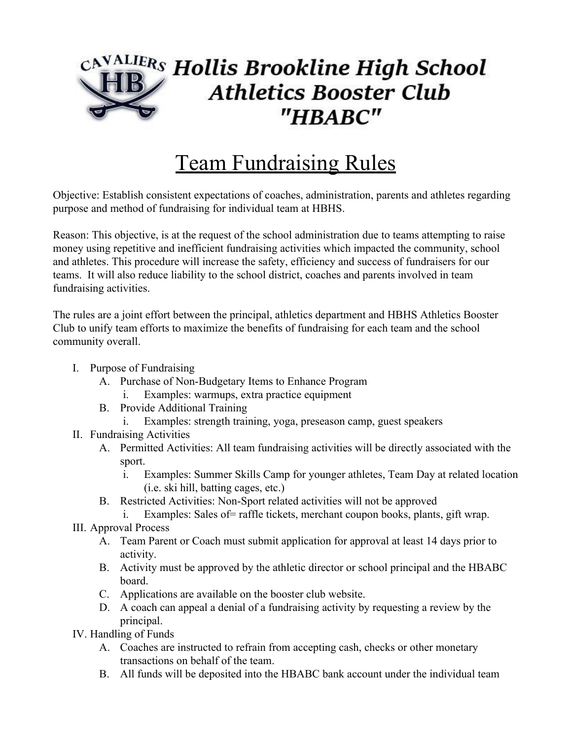## CA<sup>VALIER</sup>S Hollis Brookline High School **Athletics Booster Club** "HBABC"

## Team Fundraising Rules

Objective: Establish consistent expectations of coaches, administration, parents and athletes regarding purpose and method of fundraising for individual team at HBHS.

Reason: This objective, is at the request of the school administration due to teams attempting to raise money using repetitive and inefficient fundraising activities which impacted the community, school and athletes. This procedure will increase the safety, efficiency and success of fundraisers for our teams. It will also reduce liability to the school district, coaches and parents involved in team fundraising activities.

The rules are a joint effort between the principal, athletics department and HBHS Athletics Booster Club to unify team efforts to maximize the benefits of fundraising for each team and the school community overall.

- I. Purpose of Fundraising
	- A. Purchase of Non-Budgetary Items to Enhance Program
		- i. Examples: warmups, extra practice equipment
	- B. Provide Additional Training
		- i. Examples: strength training, yoga, preseason camp, guest speakers
- II. Fundraising Activities
	- A. Permitted Activities: All team fundraising activities will be directly associated with the sport.
		- i. Examples: Summer Skills Camp for younger athletes, Team Day at related location (i.e. ski hill, batting cages, etc.)
	- B. Restricted Activities: Non-Sport related activities will not be approved
		- i. Examples: Sales of= raffle tickets, merchant coupon books, plants, gift wrap.
- III. Approval Process
	- A. Team Parent or Coach must submit application for approval at least 14 days prior to activity.
	- B. Activity must be approved by the athletic director or school principal and the HBABC board.
	- C. Applications are available on the booster club website.
	- D. A coach can appeal a denial of a fundraising activity by requesting a review by the principal.
- IV. Handling of Funds
	- A. Coaches are instructed to refrain from accepting cash, checks or other monetary transactions on behalf of the team.
	- B. All funds will be deposited into the HBABC bank account under the individual team